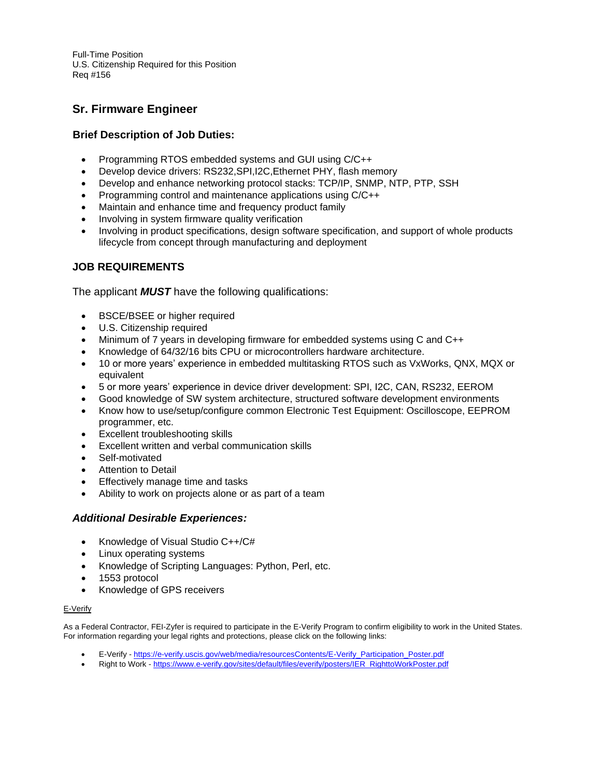Full-Time Position U.S. Citizenship Required for this Position Req #156

# **Sr. Firmware Engineer**

## **Brief Description of Job Duties:**

- Programming RTOS embedded systems and GUI using C/C++
- Develop device drivers: RS232,SPI,I2C,Ethernet PHY, flash memory
- Develop and enhance networking protocol stacks: TCP/IP, SNMP, NTP, PTP, SSH
- Programming control and maintenance applications using C/C++
- Maintain and enhance time and frequency product family
- Involving in system firmware quality verification
- Involving in product specifications, design software specification, and support of whole products lifecycle from concept through manufacturing and deployment

### **JOB REQUIREMENTS**

The applicant *MUST* have the following qualifications:

- BSCE/BSEE or higher required
- U.S. Citizenship required
- Minimum of 7 years in developing firmware for embedded systems using C and C++
- Knowledge of 64/32/16 bits CPU or microcontrollers hardware architecture.
- 10 or more years' experience in embedded multitasking RTOS such as VxWorks, QNX, MQX or equivalent
- 5 or more years' experience in device driver development: SPI, I2C, CAN, RS232, EEROM
- Good knowledge of SW system architecture, structured software development environments
- Know how to use/setup/configure common Electronic Test Equipment: Oscilloscope, EEPROM programmer, etc.
- Excellent troubleshooting skills
- Excellent written and verbal communication skills
- Self-motivated
- Attention to Detail
- Effectively manage time and tasks
- Ability to work on projects alone or as part of a team

#### *Additional Desirable Experiences:*

- Knowledge of Visual Studio C++/C#
- Linux operating systems
- Knowledge of Scripting Languages: Python, Perl, etc.
- 1553 protocol
- Knowledge of GPS receivers

#### E-Verify

As a Federal Contractor, FEI-Zyfer is required to participate in the E-Verify Program to confirm eligibility to work in the United States. For information regarding your legal rights and protections, please click on the following links:

- E-Verify [https://e-verify.uscis.gov/web/media/resourcesContents/E-Verify\\_Participation\\_Poster.pdf](https://e-verify.uscis.gov/web/media/resourcesContents/E-Verify_Participation_Poster.pdf)
- Right to Work [https://www.e-verify.gov/sites/default/files/everify/posters/IER\\_RighttoWorkPoster.pdf](https://www.e-verify.gov/sites/default/files/everify/posters/IER_RighttoWorkPoster.pdf)